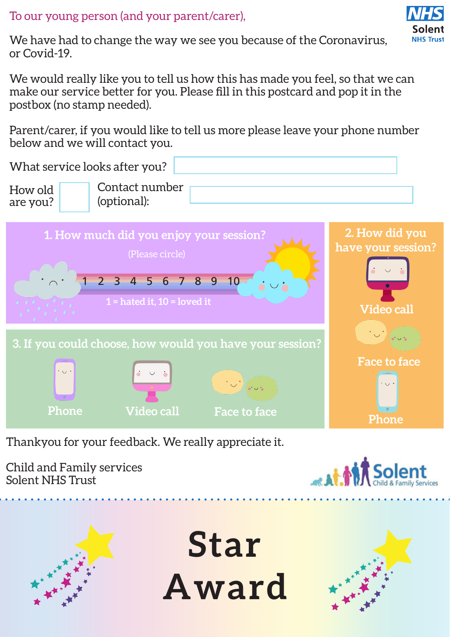To our young person (and your parent/carer),



We have had to change the way we see you because of the Coronavirus, or Covid-19.

We would really like you to tell us how this has made you feel, so that we can make our service better for you. Please fill in this postcard and pop it in the postbox (no stamp needed).

Parent/carer, if you would like to tell us more please leave your phone number below and we will contact you.



Thankyou for your feedback. We really appreciate it.

Child and Family services Solent NHS Trust





**Star Award**